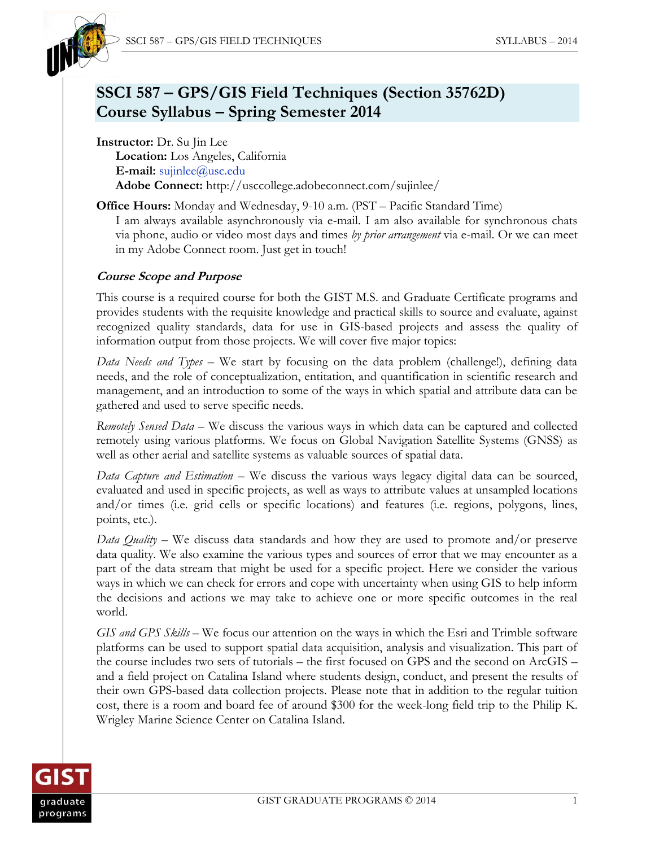

# **SSCI 587 – GPS/GIS Field Techniques (Section 35762D) Course Syllabus – Spring Semester 2014**

**Instructor:** Dr. Su Jin Lee **Location:** Los Angeles, California **E-mail:** [sujinlee@usc.edu](mailto:sujinlee@usc.edu) **Adobe Connect:** http://usccollege.adobeconnect.com/sujinlee/

**Office Hours:** Monday and Wednesday, 9-10 a.m. (PST – Pacific Standard Time) I am always available asynchronously via e-mail. I am also available for synchronous chats via phone, audio or video most days and times *by prior arrangement* via e-mail. Or we can meet in my Adobe Connect room. Just get in touch!

#### **Course Scope and Purpose**

This course is a required course for both the GIST M.S. and Graduate Certificate programs and provides students with the requisite knowledge and practical skills to source and evaluate, against recognized quality standards, data for use in GIS-based projects and assess the quality of information output from those projects. We will cover five major topics:

*Data Needs and Types* – We start by focusing on the data problem (challenge!), defining data needs, and the role of conceptualization, entitation, and quantification in scientific research and management, and an introduction to some of the ways in which spatial and attribute data can be gathered and used to serve specific needs.

*Remotely Sensed Data* – We discuss the various ways in which data can be captured and collected remotely using various platforms. We focus on Global Navigation Satellite Systems (GNSS) as well as other aerial and satellite systems as valuable sources of spatial data.

*Data Capture and Estimation* – We discuss the various ways legacy digital data can be sourced, evaluated and used in specific projects, as well as ways to attribute values at unsampled locations and/or times (i.e. grid cells or specific locations) and features (i.e. regions, polygons, lines, points, etc.).

*Data Quality* – We discuss data standards and how they are used to promote and/or preserve data quality. We also examine the various types and sources of error that we may encounter as a part of the data stream that might be used for a specific project. Here we consider the various ways in which we can check for errors and cope with uncertainty when using GIS to help inform the decisions and actions we may take to achieve one or more specific outcomes in the real world.

*GIS and GPS Skills* – We focus our attention on the ways in which the Esri and Trimble software platforms can be used to support spatial data acquisition, analysis and visualization. This part of the course includes two sets of tutorials – the first focused on GPS and the second on ArcGIS – and a field project on Catalina Island where students design, conduct, and present the results of their own GPS-based data collection projects. Please note that in addition to the regular tuition cost, there is a room and board fee of around \$300 for the week-long field trip to the Philip K. Wrigley Marine Science Center on Catalina Island.

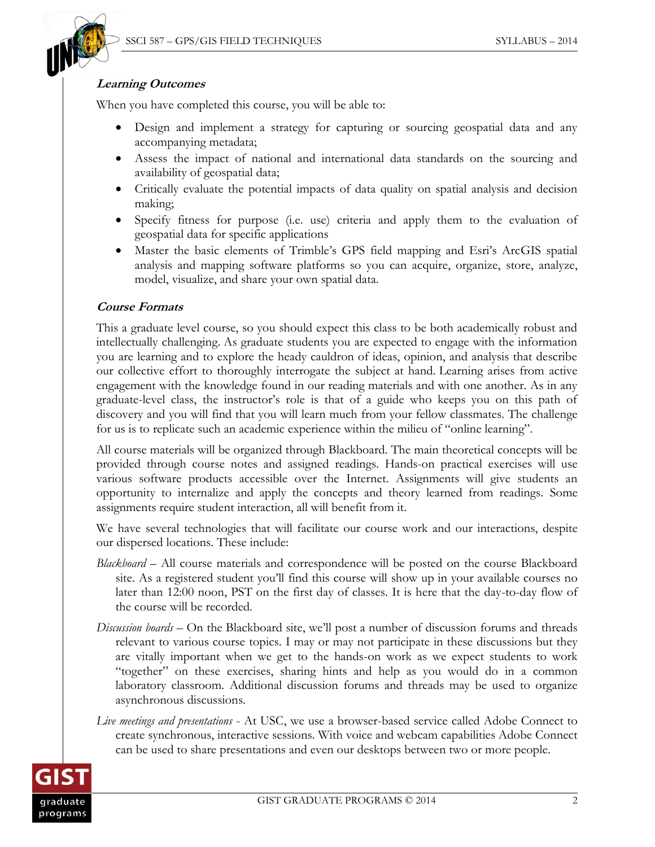

#### **Learning Outcomes**

When you have completed this course, you will be able to:

- Design and implement a strategy for capturing or sourcing geospatial data and any accompanying metadata;
- Assess the impact of national and international data standards on the sourcing and availability of geospatial data;
- Critically evaluate the potential impacts of data quality on spatial analysis and decision making;
- Specify fitness for purpose (i.e. use) criteria and apply them to the evaluation of geospatial data for specific applications
- Master the basic elements of Trimble's GPS field mapping and Esri's ArcGIS spatial analysis and mapping software platforms so you can acquire, organize, store, analyze, model, visualize, and share your own spatial data.

### **Course Formats**

This a graduate level course, so you should expect this class to be both academically robust and intellectually challenging. As graduate students you are expected to engage with the information you are learning and to explore the heady cauldron of ideas, opinion, and analysis that describe our collective effort to thoroughly interrogate the subject at hand. Learning arises from active engagement with the knowledge found in our reading materials and with one another. As in any graduate-level class, the instructor's role is that of a guide who keeps you on this path of discovery and you will find that you will learn much from your fellow classmates. The challenge for us is to replicate such an academic experience within the milieu of "online learning".

All course materials will be organized through Blackboard. The main theoretical concepts will be provided through course notes and assigned readings. Hands-on practical exercises will use various software products accessible over the Internet. Assignments will give students an opportunity to internalize and apply the concepts and theory learned from readings. Some assignments require student interaction, all will benefit from it.

We have several technologies that will facilitate our course work and our interactions, despite our dispersed locations. These include:

- *Blackboard* All course materials and correspondence will be posted on the course Blackboard site. As a registered student you'll find this course will show up in your available courses no later than 12:00 noon, PST on the first day of classes. It is here that the day-to-day flow of the course will be recorded.
- *Discussion boards* On the Blackboard site, we'll post a number of discussion forums and threads relevant to various course topics. I may or may not participate in these discussions but they are vitally important when we get to the hands-on work as we expect students to work "together" on these exercises, sharing hints and help as you would do in a common laboratory classroom. Additional discussion forums and threads may be used to organize asynchronous discussions.
- *Live meetings and presentations* At USC, we use a browser-based service called Adobe Connect to create synchronous, interactive sessions. With voice and webcam capabilities Adobe Connect can be used to share presentations and even our desktops between two or more people.

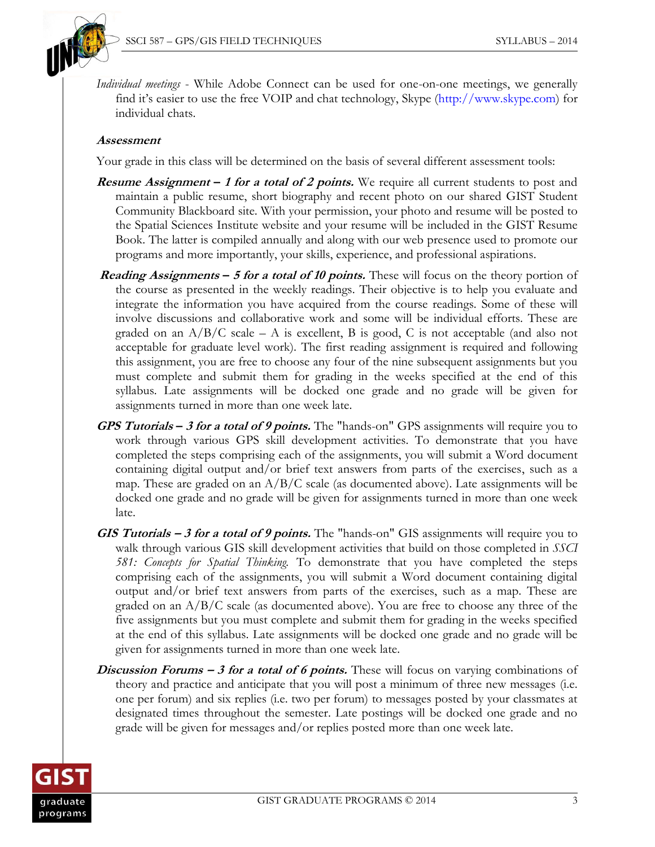

*Individual meetings* - While Adobe Connect can be used for one-on-one meetings, we generally find it's easier to use the free VOIP and chat technology, Skype (http:/[/www.skype.com\)](http://www.skype.com/) for individual chats.

#### **Assessment**

Your grade in this class will be determined on the basis of several different assessment tools:

- **Resume Assignment – <sup>1</sup> for a total of 2 points.** We require all current students to post and maintain a public resume, short biography and recent photo on our shared GIST Student Community Blackboard site. With your permission, your photo and resume will be posted to the Spatial Sciences Institute website and your resume will be included in the GIST Resume Book. The latter is compiled annually and along with our web presence used to promote our programs and more importantly, your skills, experience, and professional aspirations.
- **Reading Assignments – <sup>5</sup> for a total of 10 points.** These will focus on the theory portion of the course as presented in the weekly readings. Their objective is to help you evaluate and integrate the information you have acquired from the course readings. Some of these will involve discussions and collaborative work and some will be individual efforts. These are graded on an  $A/B/C$  scale – A is excellent, B is good, C is not acceptable (and also not acceptable for graduate level work). The first reading assignment is required and following this assignment, you are free to choose any four of the nine subsequent assignments but you must complete and submit them for grading in the weeks specified at the end of this syllabus. Late assignments will be docked one grade and no grade will be given for assignments turned in more than one week late.
- **GPS Tutorials – 3 for a total of 9 points.** The "hands-on" GPS assignments will require you to work through various GPS skill development activities. To demonstrate that you have completed the steps comprising each of the assignments, you will submit a Word document containing digital output and/or brief text answers from parts of the exercises, such as a map. These are graded on an  $A/B/C$  scale (as documented above). Late assignments will be docked one grade and no grade will be given for assignments turned in more than one week late.
- **GIS Tutorials – <sup>3</sup> for a total of 9 points.** The "hands-on" GIS assignments will require you to walk through various GIS skill development activities that build on those completed in *SSCI 581: Concepts for Spatial Thinking.* To demonstrate that you have completed the steps comprising each of the assignments, you will submit a Word document containing digital output and/or brief text answers from parts of the exercises, such as a map. These are graded on an A/B/C scale (as documented above). You are free to choose any three of the five assignments but you must complete and submit them for grading in the weeks specified at the end of this syllabus. Late assignments will be docked one grade and no grade will be given for assignments turned in more than one week late.
- **Discussion Forums 3 for a total of 6 points.** These will focus on varying combinations of theory and practice and anticipate that you will post a minimum of three new messages (i.e. one per forum) and six replies (i.e. two per forum) to messages posted by your classmates at designated times throughout the semester. Late postings will be docked one grade and no grade will be given for messages and/or replies posted more than one week late.

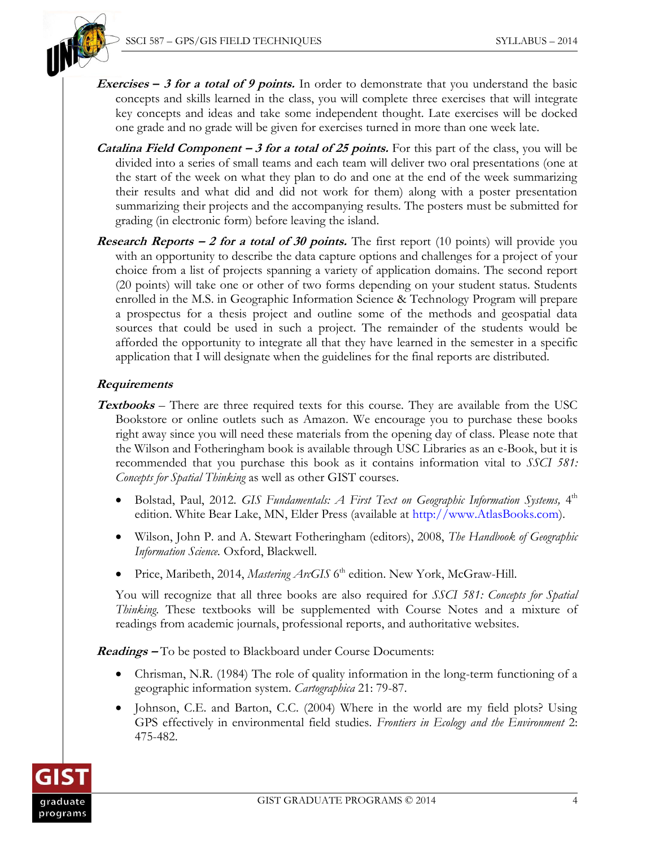

- **Exercises – 3 for a total of 9 points.** In order to demonstrate that you understand the basic concepts and skills learned in the class, you will complete three exercises that will integrate key concepts and ideas and take some independent thought. Late exercises will be docked one grade and no grade will be given for exercises turned in more than one week late.
- **Catalina Field Component – 3 for a total of 25 points.** For this part of the class, you will be divided into a series of small teams and each team will deliver two oral presentations (one at the start of the week on what they plan to do and one at the end of the week summarizing their results and what did and did not work for them) along with a poster presentation summarizing their projects and the accompanying results. The posters must be submitted for grading (in electronic form) before leaving the island.
- **Research Reports** 2 for a total of 30 points. The first report (10 points) will provide you with an opportunity to describe the data capture options and challenges for a project of your choice from a list of projects spanning a variety of application domains. The second report (20 points) will take one or other of two forms depending on your student status. Students enrolled in the M.S. in Geographic Information Science & Technology Program will prepare a prospectus for a thesis project and outline some of the methods and geospatial data sources that could be used in such a project. The remainder of the students would be afforded the opportunity to integrate all that they have learned in the semester in a specific application that I will designate when the guidelines for the final reports are distributed.

#### **Requirements**

- **Textbooks** *–* There are three required texts for this course. They are available from the USC Bookstore or online outlets such as Amazon. We encourage you to purchase these books right away since you will need these materials from the opening day of class. Please note that the Wilson and Fotheringham book is available through USC Libraries as an e-Book, but it is recommended that you purchase this book as it contains information vital to *SSCI 581: Concepts for Spatial Thinking* as well as other GIST courses.
	- Bolstad, Paul, 2012. *GIS Fundamentals: A First Text on Geographic Information Systems*, 4<sup>th</sup> edition. White Bear Lake, MN, Elder Press (available at http:/[/www.AtlasBooks.com\)](http://www.atlasbooks.com/).
	- Wilson, John P. and A. Stewart Fotheringham (editors), 2008, *The Handbook of Geographic Information Science.* Oxford, Blackwell.
	- Price, Maribeth, 2014, Mastering ArcGIS 6<sup>th</sup> edition. New York, McGraw-Hill.

You will recognize that all three books are also required for *SSCI 581: Concepts for Spatial Thinking*. These textbooks will be supplemented with Course Notes and a mixture of readings from academic journals, professional reports, and authoritative websites.

**Readings –** To be posted to Blackboard under Course Documents:

- Chrisman, N.R. (1984) The role of quality information in the long-term functioning of a geographic information system. *Cartographica* 21: 79-87.
- Johnson, C.E. and Barton, C.C. (2004) Where in the world are my field plots? Using GPS effectively in environmental field studies. *Frontiers in Ecology and the Environment* 2: 475-482.

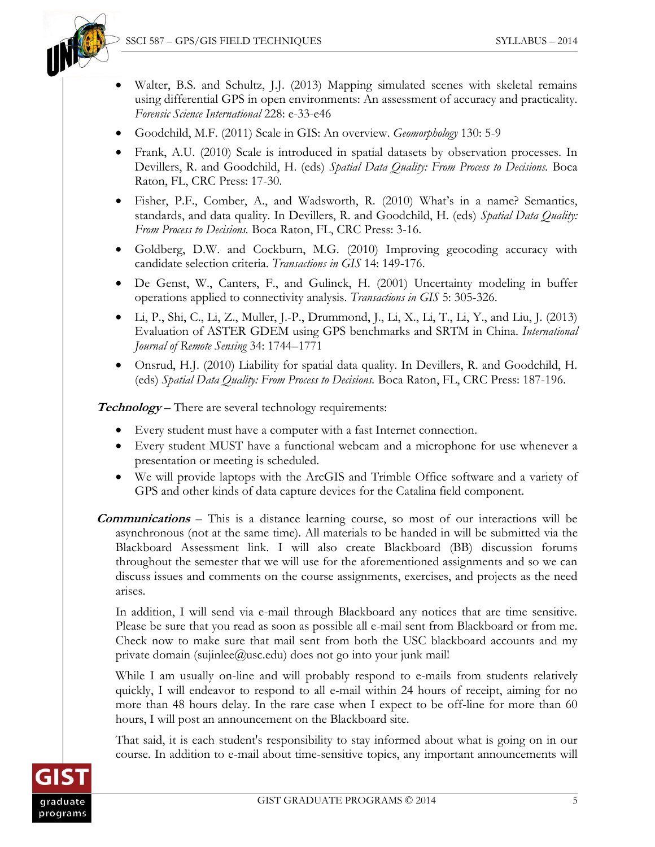

- Walter, B.S. and Schultz, J.J. (2013) Mapping simulated scenes with skeletal remains using differential GPS in open environments: An assessment of accuracy and practicality. *Forensic Science International* 228: e-33-e46
- Goodchild, M.F. (2011) Scale in GIS: An overview. *Geomorphology* 130: 5-9
- Frank, A.U. [\(2010\) Scale is introduced in spatial datasets by observation processes. In](javascript:doAuthorSearch()  Devillers, R. and Goodchild, H. (eds) *[Spatial Data Quality: From Process to Decisions.](javascript:doAuthorSearch()* Boca [Raton, FL, CRC Press: 17-30.](javascript:doAuthorSearch()
- Fisher, P.F., Comber, A., and Wadsworth, R. (2010) What's [in a name? Semantics,](javascript:doAuthorSearch()  [standards, and data quality. In Devillers, R. and Goodchild, H. \(eds\)](javascript:doAuthorSearch() *Spatial Data Quality: From Process to Decisions.* [Boca Raton, FL, CRC Press: 3-16.](javascript:doAuthorSearch()
- Goldberg, D.W. and Cockburn, M.G. (2010) Improving geocoding accuracy with candidate selection criteria. *Transactions in GIS* 14: 149-176.
- De Genst, W., Canters, F., and Gulinck, H. (2001) Uncertainty modeling in buffer operations applied to connectivity analysis. *Transactions in GIS* 5: 305-326.
- $\bullet$  Li, P., Shi, C., Li, Z., Muller, J.-P., Drummond, J., Li, X., Li, T., Li, Y., and Liu, J. (2013) Evaluation of ASTER GDEM using GPS benchmarks and SRTM in China. *International Journal of Remote Sensing* 34: 1744–1771
- Onsrud, H.J. [\(2010\) Liability for spatial data quality. In Devillers, R. and Goodchild, H.](javascript:doAuthorSearch()  (eds) *[Spatial Data Quality: From Process to Decisions.](javascript:doAuthorSearch()* Boca Raton, FL, CRC Press: 187-196.

**Technology** *–* There are several technology requirements:

- Every student must have a computer with a fast Internet connection.
- Every student MUST have a functional webcam and a microphone for use whenever a presentation or meeting is scheduled.
- We will provide laptops with the ArcGIS and Trimble Office software and a variety of GPS and other kinds of data capture devices for the Catalina field component.
- **Communications** This is a distance learning course, so most of our interactions will be asynchronous (not at the same time). All materials to be handed in will be submitted via the Blackboard Assessment link. I will also create Blackboard (BB) discussion forums throughout the semester that we will use for the aforementioned assignments and so we can discuss issues and comments on the course assignments, exercises, and projects as the need arises.

In addition, I will send via e-mail through Blackboard any notices that are time sensitive. Please be sure that you read as soon as possible all e-mail sent from Blackboard or from me. Check now to make sure that mail sent from both the USC blackboard accounts and my private domain (sujinlee@usc.edu) does not go into your junk mail!

While I am usually on-line and will probably respond to e-mails from students relatively quickly, I will endeavor to respond to all e-mail within 24 hours of receipt, aiming for no more than 48 hours delay. In the rare case when I expect to be off-line for more than 60 hours, I will post an announcement on the Blackboard site.

That said, it is each student's responsibility to stay informed about what is going on in our course. In addition to e-mail about time-sensitive topics, any important announcements will

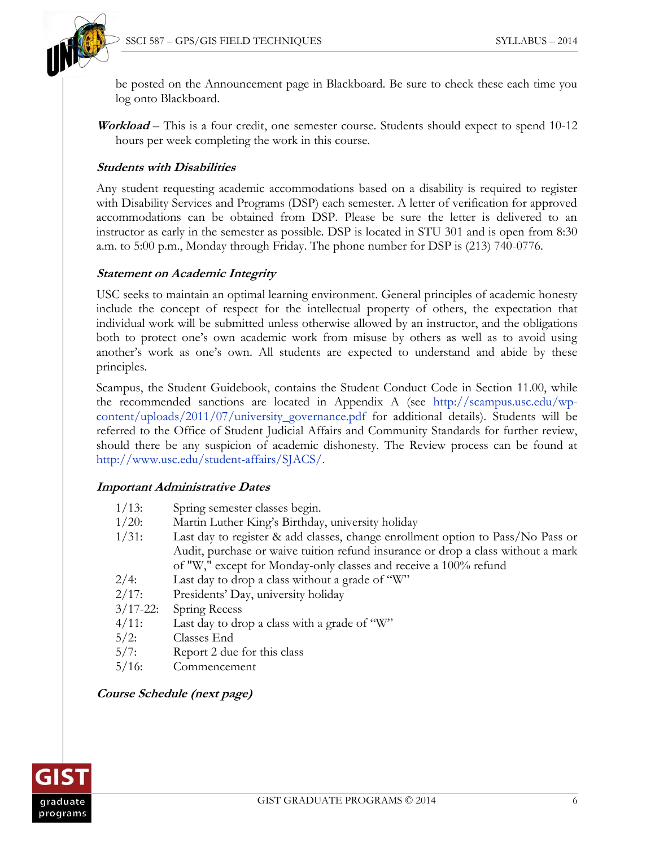

be posted on the Announcement page in Blackboard. Be sure to check these each time you log onto Blackboard.

**Workload** – This is a four credit, one semester course. Students should expect to spend 10-12 hours per week completing the work in this course.

#### **Students with Disabilities**

Any student requesting academic accommodations based on a disability is required to register with Disability Services and Programs (DSP) each semester. A letter of verification for approved accommodations can be obtained from DSP. Please be sure the letter is delivered to an instructor as early in the semester as possible. DSP is located in STU 301 and is open from 8:30 a.m. to 5:00 p.m., Monday through Friday. The phone number for DSP is (213) 740-0776.

#### **Statement on Academic Integrity**

USC seeks to maintain an optimal learning environment. General principles of academic honesty include the concept of respect for the intellectual property of others, the expectation that individual work will be submitted unless otherwise allowed by an instructor, and the obligations both to protect one's own academic work from misuse by others as well as to avoid using another's work as one's own. All students are expected to understand and abide by these principles.

Scampus, the Student Guidebook, contains the Student Conduct Code in Section 11.00, while the recommended sanctions are located in Appendix A (see [http://scampus.usc.edu/wp](http://scampus.usc.edu/wp-content/uploads/2011/07/university_governance.pdf)[content/uploads/2011/07/university\\_governance.pdf](http://scampus.usc.edu/wp-content/uploads/2011/07/university_governance.pdf) for additional details). Students will be referred to the Office of Student Judicial Affairs and Community Standards for further review, should there be any suspicion of academic dishonesty. The Review process can be found at [http://www.usc.edu/student-affairs/SJACS/.](http://www.usc.edu/student-affairs/SJACS/)

#### **Important Administrative Dates**

| $1/13$ :      | Spring semester classes begin.                                                   |
|---------------|----------------------------------------------------------------------------------|
| $1/20$ :      | Martin Luther King's Birthday, university holiday                                |
| $1/31$ :      | Last day to register & add classes, change enrollment option to Pass/No Pass or  |
|               | Audit, purchase or waive tuition refund insurance or drop a class without a mark |
|               | of "W," except for Monday-only classes and receive a 100% refund                 |
| $2/4$ :       | Last day to drop a class without a grade of "W"                                  |
| 2/17:         | Presidents' Day, university holiday                                              |
| $3/17 - 22$ : | Spring Recess                                                                    |
| $4/11$ :      | Last day to drop a class with a grade of "W"                                     |
| $5/2$ :       | Classes End                                                                      |
| 5/7:          | Report 2 due for this class                                                      |
| $5/16$ :      | Commencement                                                                     |

#### **Course Schedule (next page)**